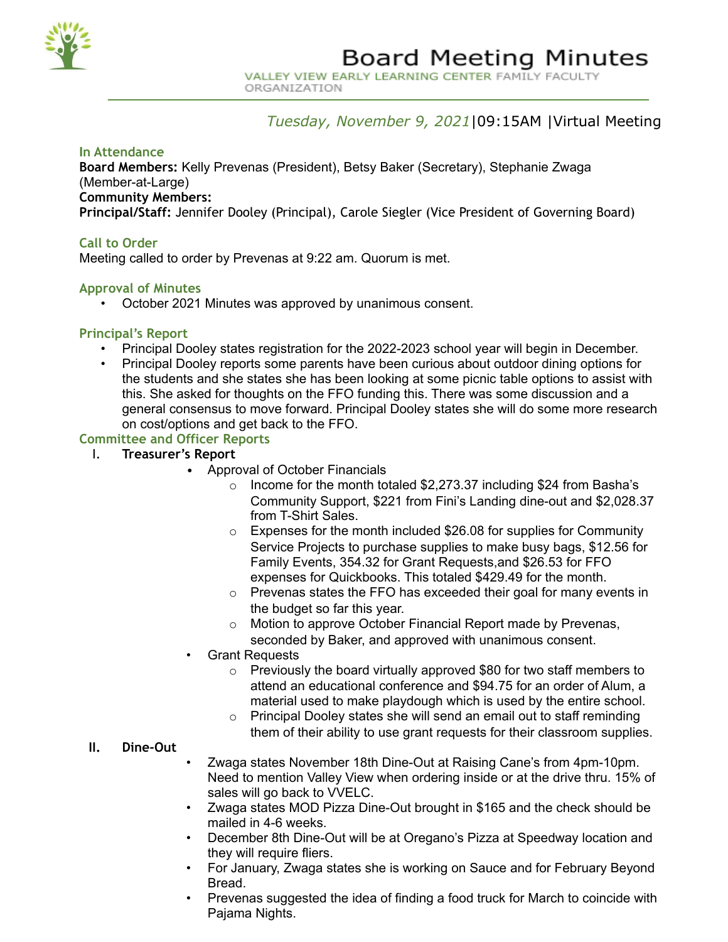

VALLEY VIEW EARLY LEARNING CENTER FAMILY FACULTY ORGANIZATION

## *Tuesday, November 9, 2021*|09:15AM |Virtual Meeting

#### **In Attendance**

**Board Members:** Kelly Prevenas (President), Betsy Baker (Secretary), Stephanie Zwaga (Member-at-Large)

**Community Members:**

**Principal/Staff:** Jennifer Dooley (Principal), Carole Siegler (Vice President of Governing Board)

#### **Call to Order**

Meeting called to order by Prevenas at 9:22 am. Quorum is met.

#### **Approval of Minutes**

• October 2021 Minutes was approved by unanimous consent.

#### **Principal's Report**

- Principal Dooley states registration for the 2022-2023 school year will begin in December.
- Principal Dooley reports some parents have been curious about outdoor dining options for the students and she states she has been looking at some picnic table options to assist with this. She asked for thoughts on the FFO funding this. There was some discussion and a general consensus to move forward. Principal Dooley states she will do some more research on cost/options and get back to the FFO.

#### **Committee and Officer Reports**

- I. **Treasurer's Report**
	- Approval of October Financials
		- $\circ$  Income for the month totaled \$2,273.37 including \$24 from Basha's Community Support, \$221 from Fini's Landing dine-out and \$2,028.37 from T-Shirt Sales.
		- $\circ$  Expenses for the month included \$26.08 for supplies for Community Service Projects to purchase supplies to make busy bags, \$12.56 for Family Events, 354.32 for Grant Requests,and \$26.53 for FFO expenses for Quickbooks. This totaled \$429.49 for the month.
		- o Prevenas states the FFO has exceeded their goal for many events in the budget so far this year.
		- o Motion to approve October Financial Report made by Prevenas, seconded by Baker, and approved with unanimous consent.
		- Grant Requests
			- o Previously the board virtually approved \$80 for two staff members to attend an educational conference and \$94.75 for an order of Alum, a material used to make playdough which is used by the entire school.
			- o Principal Dooley states she will send an email out to staff reminding them of their ability to use grant requests for their classroom supplies.

#### **II. Dine-Out**

- Zwaga states November 18th Dine-Out at Raising Cane's from 4pm-10pm. Need to mention Valley View when ordering inside or at the drive thru. 15% of sales will go back to VVELC.
- Zwaga states MOD Pizza Dine-Out brought in \$165 and the check should be mailed in 4-6 weeks.
- December 8th Dine-Out will be at Oregano's Pizza at Speedway location and they will require fliers.
- For January, Zwaga states she is working on Sauce and for February Beyond Bread.
- Prevenas suggested the idea of finding a food truck for March to coincide with Pajama Nights.